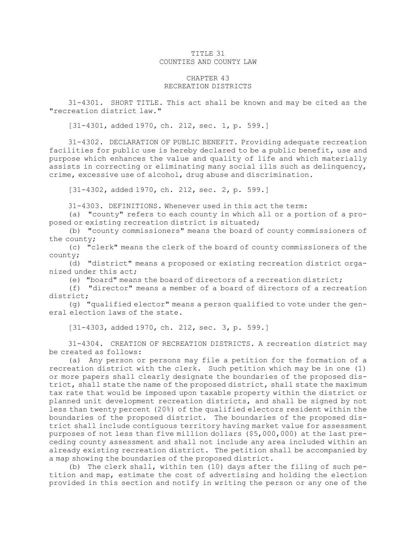## TITLE 31 COUNTIES AND COUNTY LAW

## CHAPTER 43 RECREATION DISTRICTS

31-4301. SHORT TITLE. This act shall be known and may be cited as the "recreation district law."

[31-4301, added 1970, ch. 212, sec. 1, p. 599.]

31-4302. DECLARATION OF PUBLIC BENEFIT. Providing adequate recreation facilities for public use is hereby declared to be <sup>a</sup> public benefit, use and purpose which enhances the value and quality of life and which materially assists in correcting or eliminating many social ills such as delinquency, crime, excessive use of alcohol, drug abuse and discrimination.

[31-4302, added 1970, ch. 212, sec. 2, p. 599.]

31-4303. DEFINITIONS. Whenever used in this act the term:

(a) "county" refers to each county in which all or <sup>a</sup> portion of <sup>a</sup> proposed or existing recreation district is situated;

(b) "county commissioners" means the board of county commissioners of the county;

(c) "clerk" means the clerk of the board of county commissioners of the county;

(d) "district" means <sup>a</sup> proposed or existing recreation district organized under this act;

(e) "board" means the board of directors of <sup>a</sup> recreation district;

(f) "director" means <sup>a</sup> member of <sup>a</sup> board of directors of <sup>a</sup> recreation district;

(g) "qualified elector" means <sup>a</sup> person qualified to vote under the general election laws of the state.

[31-4303, added 1970, ch. 212, sec. 3, p. 599.]

31-4304. CREATION OF RECREATION DISTRICTS. <sup>A</sup> recreation district may be created as follows:

(a) Any person or persons may file <sup>a</sup> petition for the formation of <sup>a</sup> recreation district with the clerk. Such petition which may be in one (1) or more papers shall clearly designate the boundaries of the proposed district, shall state the name of the proposed district, shall state the maximum tax rate that would be imposed upon taxable property within the district or planned unit development recreation districts, and shall be signed by not less than twenty percent (20%) of the qualified electors resident within the boundaries of the proposed district. The boundaries of the proposed district shall include contiguous territory having market value for assessment purposes of not less than five million dollars (\$5,000,000) at the last preceding county assessment and shall not include any area included within an already existing recreation district. The petition shall be accompanied by <sup>a</sup> map showing the boundaries of the proposed district.

(b) The clerk shall, within ten (10) days after the filing of such petition and map, estimate the cost of advertising and holding the election provided in this section and notify in writing the person or any one of the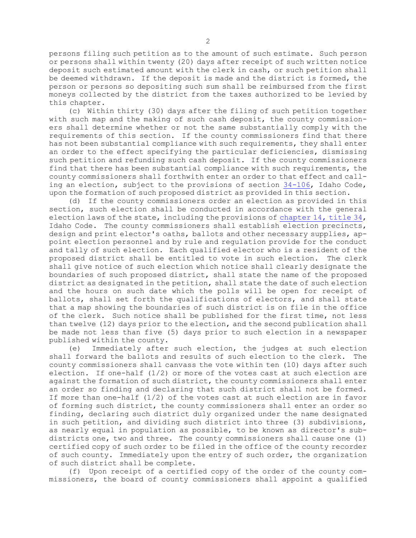persons filing such petition as to the amount of such estimate. Such person or persons shall within twenty (20) days after receipt of such written notice deposit such estimated amount with the clerk in cash, or such petition shall be deemed withdrawn. If the deposit is made and the district is formed, the person or persons so depositing such sum shall be reimbursed from the first moneys collected by the district from the taxes authorized to be levied by this chapter.

(c) Within thirty (30) days after the filing of such petition together with such map and the making of such cash deposit, the county commissioners shall determine whether or not the same substantially comply with the requirements of this section. If the county commissioners find that there has not been substantial compliance with such requirements, they shall enter an order to the effect specifying the particular deficiencies, dismissing such petition and refunding such cash deposit. If the county commissioners find that there has been substantial compliance with such requirements, the county commissioners shall forthwith enter an order to that effect and calling an election, subject to the provisions of section [34-106](https://legislature.idaho.gov/statutesrules/idstat/Title34/T34CH1/SECT34-106), Idaho Code, upon the formation of such proposed district as provided in this section.

(d) If the county commissioners order an election as provided in this section, such election shall be conducted in accordance with the general election laws of the state, including the provisions of [chapter](https://legislature.idaho.gov/statutesrules/idstat/Title34/T34CH14) 14, title 34, Idaho Code. The county commissioners shall establish election precincts, design and print elector's oaths, ballots and other necessary supplies, appoint election personnel and by rule and regulation provide for the conduct and tally of such election. Each qualified elector who is <sup>a</sup> resident of the proposed district shall be entitled to vote in such election. The clerk shall give notice of such election which notice shall clearly designate the boundaries of such proposed district, shall state the name of the proposed district as designated in the petition, shall state the date of such election and the hours on such date which the polls will be open for receipt of ballots, shall set forth the qualifications of electors, and shall state that <sup>a</sup> map showing the boundaries of such district is on file in the office of the clerk. Such notice shall be published for the first time, not less than twelve (12) days prior to the election, and the second publication shall be made not less than five (5) days prior to such election in <sup>a</sup> newspaper published within the county.

(e) Immediately after such election, the judges at such election shall forward the ballots and results of such election to the clerk. The county commissioners shall canvass the vote within ten (10) days after such election. If one-half (1/2) or more of the votes cast at such election are against the formation of such district, the county commissioners shall enter an order so finding and declaring that such district shall not be formed. If more than one-half  $(1/2)$  of the votes cast at such election are in favor of forming such district, the county commissioners shall enter an order so finding, declaring such district duly organized under the name designated in such petition, and dividing such district into three (3) subdivisions, as nearly equal in population as possible, to be known as director's subdistricts one, two and three. The county commissioners shall cause one (1) certified copy of such order to be filed in the office of the county recorder of such county. Immediately upon the entry of such order, the organization of such district shall be complete.

(f) Upon receipt of <sup>a</sup> certified copy of the order of the county commissioners, the board of county commissioners shall appoint <sup>a</sup> qualified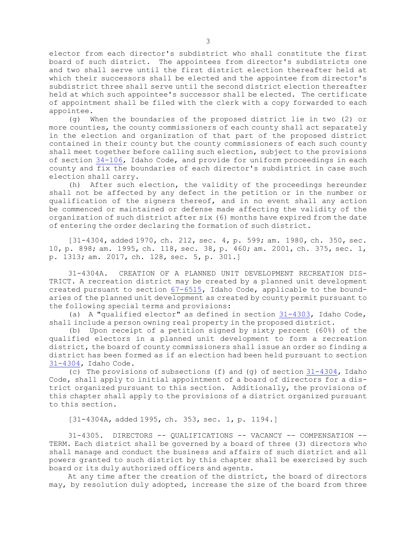elector from each director's subdistrict who shall constitute the first board of such district. The appointees from director's subdistricts one and two shall serve until the first district election thereafter held at which their successors shall be elected and the appointee from director's subdistrict three shall serve until the second district election thereafter held at which such appointee's successor shall be elected. The certificate of appointment shall be filed with the clerk with <sup>a</sup> copy forwarded to each appointee.

(g) When the boundaries of the proposed district lie in two (2) or more counties, the county commissioners of each county shall act separately in the election and organization of that part of the proposed district contained in their county but the county commissioners of each such county shall meet together before calling such election, subject to the provisions of section [34-106](https://legislature.idaho.gov/statutesrules/idstat/Title34/T34CH1/SECT34-106), Idaho Code, and provide for uniform proceedings in each county and fix the boundaries of each director's subdistrict in case such election shall carry.

(h) After such election, the validity of the proceedings hereunder shall not be affected by any defect in the petition or in the number or qualification of the signers thereof, and in no event shall any action be commenced or maintained or defense made affecting the validity of the organization of such district after six (6) months have expired from the date of entering the order declaring the formation of such district.

[31-4304, added 1970, ch. 212, sec. 4, p. 599; am. 1980, ch. 350, sec. 10, p. 898; am. 1995, ch. 118, sec. 38, p. 460; am. 2001, ch. 375, sec. 1, p. 1313; am. 2017, ch. 128, sec. 5, p. 301.]

31-4304A. CREATION OF A PLANNED UNIT DEVELOPMENT RECREATION DIS-TRICT. <sup>A</sup> recreation district may be created by <sup>a</sup> planned unit development created pursuant to section [67-6515](https://legislature.idaho.gov/statutesrules/idstat/Title67/T67CH65/SECT67-6515), Idaho Code, applicable to the boundaries of the planned unit development as created by county permit pursuant to the following special terms and provisions:

(a) <sup>A</sup> "qualified elector" as defined in section [31-4303](https://legislature.idaho.gov/statutesrules/idstat/Title31/T31CH43/SECT31-4303), Idaho Code, shall include <sup>a</sup> person owning real property in the proposed district.

(b) Upon receipt of <sup>a</sup> petition signed by sixty percent (60%) of the qualified electors in <sup>a</sup> planned unit development to form <sup>a</sup> recreation district, the board of county commissioners shall issue an order so finding <sup>a</sup> district has been formed as if an election had been held pursuant to section [31-4304](https://legislature.idaho.gov/statutesrules/idstat/Title31/T31CH43/SECT31-4304), Idaho Code.

(c) The provisions of subsections (f) and (g) of section [31-4304](https://legislature.idaho.gov/statutesrules/idstat/Title31/T31CH43/SECT31-4304), Idaho Code, shall apply to initial appointment of <sup>a</sup> board of directors for <sup>a</sup> district organized pursuant to this section. Additionally, the provisions of this chapter shall apply to the provisions of <sup>a</sup> district organized pursuant to this section.

[31-4304A, added 1995, ch. 353, sec. 1, p. 1194.]

31-4305. DIRECTORS -- QUALIFICATIONS -- VACANCY -- COMPENSATION -- TERM. Each district shall be governed by <sup>a</sup> board of three (3) directors who shall manage and conduct the business and affairs of such district and all powers granted to such district by this chapter shall be exercised by such board or its duly authorized officers and agents.

At any time after the creation of the district, the board of directors may, by resolution duly adopted, increase the size of the board from three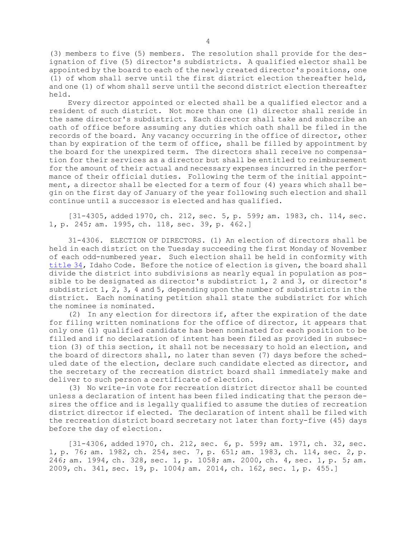(3) members to five (5) members. The resolution shall provide for the designation of five (5) director's subdistricts. <sup>A</sup> qualified elector shall be appointed by the board to each of the newly created director's positions, one (1) of whom shall serve until the first district election thereafter held, and one (1) of whom shall serve until the second district election thereafter held.

Every director appointed or elected shall be <sup>a</sup> qualified elector and <sup>a</sup> resident of such district. Not more than one (1) director shall reside in the same director's subdistrict. Each director shall take and subscribe an oath of office before assuming any duties which oath shall be filed in the records of the board. Any vacancy occurring in the office of director, other than by expiration of the term of office, shall be filled by appointment by the board for the unexpired term. The directors shall receive no compensation for their services as <sup>a</sup> director but shall be entitled to reimbursement for the amount of their actual and necessary expenses incurred in the performance of their official duties. Following the term of the initial appointment, <sup>a</sup> director shall be elected for <sup>a</sup> term of four (4) years which shall begin on the first day of January of the year following such election and shall continue until <sup>a</sup> successor is elected and has qualified.

[31-4305, added 1970, ch. 212, sec. 5, p. 599; am. 1983, ch. 114, sec. 1, p. 245; am. 1995, ch. 118, sec. 39, p. 462.]

31-4306. ELECTION OF DIRECTORS. (1) An election of directors shall be held in each district on the Tuesday succeeding the first Monday of November of each odd-numbered year. Such election shall be held in conformity with [title](https://legislature.idaho.gov/statutesrules/idstat/Title34/) 34, Idaho Code. Before the notice of election is given, the board shall divide the district into subdivisions as nearly equal in population as possible to be designated as director's subdistrict 1, 2 and 3, or director's subdistrict 1, 2, 3, 4 and 5, depending upon the number of subdistricts in the district. Each nominating petition shall state the subdistrict for which the nominee is nominated.

(2) In any election for directors if, after the expiration of the date for filing written nominations for the office of director, it appears that only one (1) qualified candidate has been nominated for each position to be filled and if no declaration of intent has been filed as provided in subsection (3) of this section, it shall not be necessary to hold an election, and the board of directors shall, no later than seven (7) days before the scheduled date of the election, declare such candidate elected as director, and the secretary of the recreation district board shall immediately make and deliver to such person <sup>a</sup> certificate of election.

(3) No write-in vote for recreation district director shall be counted unless <sup>a</sup> declaration of intent has been filed indicating that the person desires the office and is legally qualified to assume the duties of recreation district director if elected. The declaration of intent shall be filed with the recreation district board secretary not later than forty-five (45) days before the day of election.

[31-4306, added 1970, ch. 212, sec. 6, p. 599; am. 1971, ch. 32, sec. 1, p. 76; am. 1982, ch. 254, sec. 7, p. 651; am. 1983, ch. 114, sec. 2, p. 246; am. 1994, ch. 328, sec. 1, p. 1058; am. 2000, ch. 4, sec. 1, p. 5; am. 2009, ch. 341, sec. 19, p. 1004; am. 2014, ch. 162, sec. 1, p. 455.]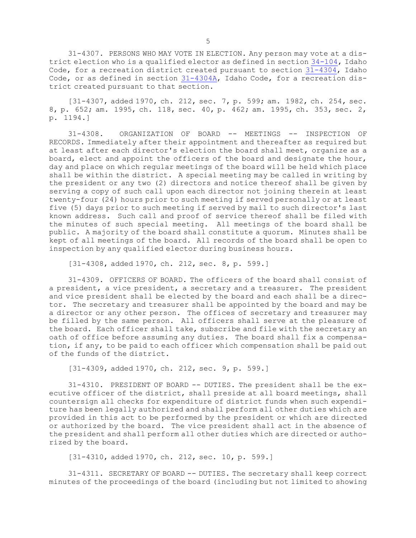31-4307. PERSONS WHO MAY VOTE IN ELECTION. Any person may vote at <sup>a</sup> district election who is <sup>a</sup> qualified elector as defined in section [34-104](https://legislature.idaho.gov/statutesrules/idstat/Title34/T34CH1/SECT34-104), Idaho Code, for <sup>a</sup> recreation district created pursuant to section [31-4304](https://legislature.idaho.gov/statutesrules/idstat/Title31/T31CH43/SECT31-4304), Idaho Code, or as defined in section [31-4304A](https://legislature.idaho.gov/statutesrules/idstat/Title31/T31CH43/SECT31-4304A), Idaho Code, for <sup>a</sup> recreation district created pursuant to that section.

[31-4307, added 1970, ch. 212, sec. 7, p. 599; am. 1982, ch. 254, sec. 8, p. 652; am. 1995, ch. 118, sec. 40, p. 462; am. 1995, ch. 353, sec. 2, p. 1194.]

31-4308. ORGANIZATION OF BOARD -- MEETINGS -- INSPECTION OF RECORDS. Immediately after their appointment and thereafter as required but at least after each director's election the board shall meet, organize as <sup>a</sup> board, elect and appoint the officers of the board and designate the hour, day and place on which regular meetings of the board will be held which place shall be within the district. <sup>A</sup> special meeting may be called in writing by the president or any two (2) directors and notice thereof shall be given by serving <sup>a</sup> copy of such call upon each director not joining therein at least twenty-four (24) hours prior to such meeting if served personally or at least five (5) days prior to such meeting if served by mail to such director's last known address. Such call and proof of service thereof shall be filed with the minutes of such special meeting. All meetings of the board shall be public. <sup>A</sup> majority of the board shall constitute <sup>a</sup> quorum. Minutes shall be kept of all meetings of the board. All records of the board shall be open to inspection by any qualified elector during business hours.

[31-4308, added 1970, ch. 212, sec. 8, p. 599.]

31-4309. OFFICERS OF BOARD. The officers of the board shall consist of <sup>a</sup> president, <sup>a</sup> vice president, <sup>a</sup> secretary and <sup>a</sup> treasurer. The president and vice president shall be elected by the board and each shall be <sup>a</sup> director. The secretary and treasurer shall be appointed by the board and may be <sup>a</sup> director or any other person. The offices of secretary and treasurer may be filled by the same person. All officers shall serve at the pleasure of the board. Each officer shall take, subscribe and file with the secretary an oath of office before assuming any duties. The board shall fix <sup>a</sup> compensation, if any, to be paid to each officer which compensation shall be paid out of the funds of the district.

[31-4309, added 1970, ch. 212, sec. 9, p. 599.]

31-4310. PRESIDENT OF BOARD -- DUTIES. The president shall be the executive officer of the district, shall preside at all board meetings, shall countersign all checks for expenditure of district funds when such expenditure has been legally authorized and shall perform all other duties which are provided in this act to be performed by the president or which are directed or authorized by the board. The vice president shall act in the absence of the president and shall perform all other duties which are directed or authorized by the board.

[31-4310, added 1970, ch. 212, sec. 10, p. 599.]

31-4311. SECRETARY OF BOARD -- DUTIES. The secretary shall keep correct minutes of the proceedings of the board (including but not limited to showing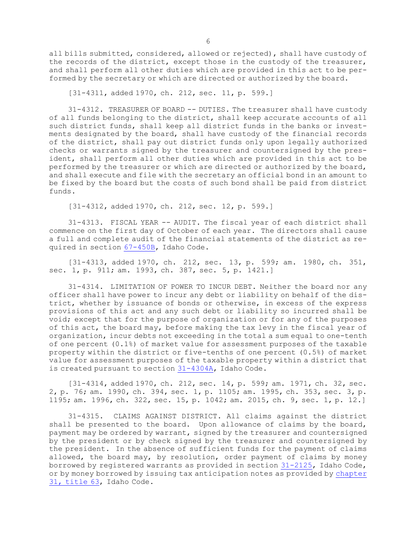all bills submitted, considered, allowed or rejected), shall have custody of the records of the district, except those in the custody of the treasurer, and shall perform all other duties which are provided in this act to be performed by the secretary or which are directed or authorized by the board.

[31-4311, added 1970, ch. 212, sec. 11, p. 599.]

31-4312. TREASURER OF BOARD -- DUTIES. The treasurer shall have custody of all funds belonging to the district, shall keep accurate accounts of all such district funds, shall keep all district funds in the banks or investments designated by the board, shall have custody of the financial records of the district, shall pay out district funds only upon legally authorized checks or warrants signed by the treasurer and countersigned by the president, shall perform all other duties which are provided in this act to be performed by the treasurer or which are directed or authorized by the board, and shall execute and file with the secretary an official bond in an amount to be fixed by the board but the costs of such bond shall be paid from district funds.

[31-4312, added 1970, ch. 212, sec. 12, p. 599.]

31-4313. FISCAL YEAR -- AUDIT. The fiscal year of each district shall commence on the first day of October of each year. The directors shall cause <sup>a</sup> full and complete audit of the financial statements of the district as required in section [67-450B](https://legislature.idaho.gov/statutesrules/idstat/Title67/T67CH4/SECT67-450B), Idaho Code.

[31-4313, added 1970, ch. 212, sec. 13, p. 599; am. 1980, ch. 351, sec. 1, p. 911; am. 1993, ch. 387, sec. 5, p. 1421.]

31-4314. LIMITATION OF POWER TO INCUR DEBT. Neither the board nor any officer shall have power to incur any debt or liability on behalf of the district, whether by issuance of bonds or otherwise, in excess of the express provisions of this act and any such debt or liability so incurred shall be void; except that for the purpose of organization or for any of the purposes of this act, the board may, before making the tax levy in the fiscal year of organization, incur debts not exceeding in the total <sup>a</sup> sum equal to one-tenth of one percent (0.1%) of market value for assessment purposes of the taxable property within the district or five-tenths of one percent (0.5%) of market value for assessment purposes of the taxable property within <sup>a</sup> district that is created pursuant to section [31-4304A](https://legislature.idaho.gov/statutesrules/idstat/Title31/T31CH43/SECT31-4304A), Idaho Code.

[31-4314, added 1970, ch. 212, sec. 14, p. 599; am. 1971, ch. 32, sec. 2, p. 76; am. 1990, ch. 394, sec. 1, p. 1105; am. 1995, ch. 353, sec. 3, p. 1195; am. 1996, ch. 322, sec. 15, p. 1042; am. 2015, ch. 9, sec. 1, p. 12.]

31-4315. CLAIMS AGAINST DISTRICT. All claims against the district shall be presented to the board. Upon allowance of claims by the board, payment may be ordered by warrant, signed by the treasurer and countersigned by the president or by check signed by the treasurer and countersigned by the president. In the absence of sufficient funds for the payment of claims allowed, the board may, by resolution, order payment of claims by money borrowed by registered warrants as provided in section [31-2125](https://legislature.idaho.gov/statutesrules/idstat/Title31/T31CH21/SECT31-2125), Idaho Code, or by money borrowed by issuing tax anticipation notes as provided by [chapter](https://legislature.idaho.gov/statutesrules/idstat/Title63/T63CH31) 31, [title](https://legislature.idaho.gov/statutesrules/idstat/Title63/T63CH31) 63, Idaho Code.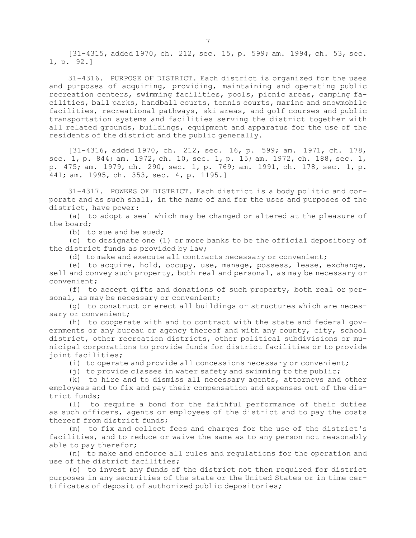[31-4315, added 1970, ch. 212, sec. 15, p. 599; am. 1994, ch. 53, sec. 1, p. 92.]

31-4316. PURPOSE OF DISTRICT. Each district is organized for the uses and purposes of acquiring, providing, maintaining and operating public recreation centers, swimming facilities, pools, picnic areas, camping facilities, ball parks, handball courts, tennis courts, marine and snowmobile facilities, recreational pathways, ski areas, and golf courses and public transportation systems and facilities serving the district together with all related grounds, buildings, equipment and apparatus for the use of the residents of the district and the public generally.

[31-4316, added 1970, ch. 212, sec. 16, p. 599; am. 1971, ch. 178, sec. 1, p. 844; am. 1972, ch. 10, sec. 1, p. 15; am. 1972, ch. 188, sec. 1, p. 475; am. 1979, ch. 290, sec. 1, p. 769; am. 1991, ch. 178, sec. 1, p. 441; am. 1995, ch. 353, sec. 4, p. 1195.]

31-4317. POWERS OF DISTRICT. Each district is <sup>a</sup> body politic and corporate and as such shall, in the name of and for the uses and purposes of the district, have power:

(a) to adopt <sup>a</sup> seal which may be changed or altered at the pleasure of the board;

(b) to sue and be sued;

(c) to designate one (1) or more banks to be the official depository of the district funds as provided by law;

(d) to make and execute all contracts necessary or convenient;

(e) to acquire, hold, occupy, use, manage, possess, lease, exchange, sell and convey such property, both real and personal, as may be necessary or convenient;

(f) to accept gifts and donations of such property, both real or personal, as may be necessary or convenient;

(g) to construct or erect all buildings or structures which are necessary or convenient;

(h) to cooperate with and to contract with the state and federal governments or any bureau or agency thereof and with any county, city, school district, other recreation districts, other political subdivisions or municipal corporations to provide funds for district facilities or to provide joint facilities;

(i) to operate and provide all concessions necessary or convenient;

(j) to provide classes in water safety and swimming to the public;

(k) to hire and to dismiss all necessary agents, attorneys and other employees and to fix and pay their compensation and expenses out of the district funds;

(l) to require <sup>a</sup> bond for the faithful performance of their duties as such officers, agents or employees of the district and to pay the costs thereof from district funds;

(m) to fix and collect fees and charges for the use of the district's facilities, and to reduce or waive the same as to any person not reasonably able to pay therefor;

(n) to make and enforce all rules and regulations for the operation and use of the district facilities;

(o) to invest any funds of the district not then required for district purposes in any securities of the state or the United States or in time certificates of deposit of authorized public depositories;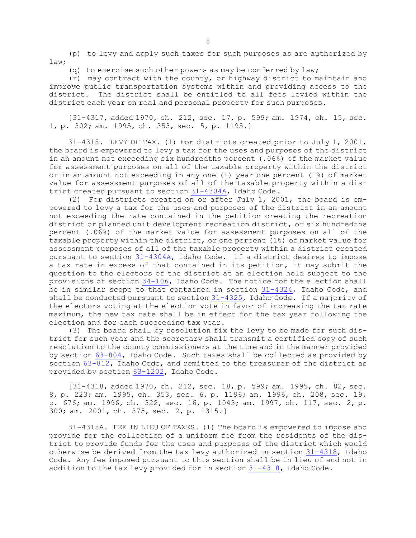(p) to levy and apply such taxes for such purposes as are authorized by law;

(q) to exercise such other powers as may be conferred by  $law$ ;

(r) may contract with the county, or highway district to maintain and improve public transportation systems within and providing access to the district. The district shall be entitled to all fees levied within the district each year on real and personal property for such purposes.

[31-4317, added 1970, ch. 212, sec. 17, p. 599; am. 1974, ch. 15, sec. 1, p. 302; am. 1995, ch. 353, sec. 5, p. 1195.]

31-4318. LEVY OF TAX. (1) For districts created prior to July 1, 2001, the board is empowered to levy <sup>a</sup> tax for the uses and purposes of the district in an amount not exceeding six hundredths percent (.06%) of the market value for assessment purposes on all of the taxable property within the district or in an amount not exceeding in any one (1) year one percent (1%) of market value for assessment purposes of all of the taxable property within <sup>a</sup> district created pursuant to section [31-4304A](https://legislature.idaho.gov/statutesrules/idstat/Title31/T31CH43/SECT31-4304A), Idaho Code.

(2) For districts created on or after July 1, 2001, the board is empowered to levy <sup>a</sup> tax for the uses and purposes of the district in an amount not exceeding the rate contained in the petition creating the recreation district or planned unit development recreation district, or six hundredths percent (.06%) of the market value for assessment purposes on all of the taxable property within the district, or one percent (1%) of market value for assessment purposes of all of the taxable property within <sup>a</sup> district created pursuant to section [31-4304A](https://legislature.idaho.gov/statutesrules/idstat/Title31/T31CH43/SECT31-4304A), Idaho Code. If <sup>a</sup> district desires to impose <sup>a</sup> tax rate in excess of that contained in its petition, it may submit the question to the electors of the district at an election held subject to the provisions of section [34-106](https://legislature.idaho.gov/statutesrules/idstat/Title34/T34CH1/SECT34-106), Idaho Code. The notice for the election shall be in similar scope to that contained in section [31-4324](https://legislature.idaho.gov/statutesrules/idstat/Title31/T31CH43/SECT31-4324), Idaho Code, and shall be conducted pursuant to section [31-4325](https://legislature.idaho.gov/statutesrules/idstat/Title31/T31CH43/SECT31-4325), Idaho Code. If a majority of the electors voting at the election vote in favor of increasing the tax rate maximum, the new tax rate shall be in effect for the tax year following the election and for each succeeding tax year.

(3) The board shall by resolution fix the levy to be made for such district for such year and the secretary shall transmit <sup>a</sup> certified copy of such resolution to the county commissioners at the time and in the manner provided by section [63-804](https://legislature.idaho.gov/statutesrules/idstat/Title63/T63CH8/SECT63-804), Idaho Code. Such taxes shall be collected as provided by section  $63-812$ , Idaho Code, and remitted to the treasurer of the district as provided by section [63-1202](https://legislature.idaho.gov/statutesrules/idstat/Title63/T63CH12/SECT63-1202), Idaho Code.

[31-4318, added 1970, ch. 212, sec. 18, p. 599; am. 1995, ch. 82, sec. 8, p. 223; am. 1995, ch. 353, sec. 6, p. 1196; am. 1996, ch. 208, sec. 19, p. 676; am. 1996, ch. 322, sec. 16, p. 1043; am. 1997, ch. 117, sec. 2, p. 300; am. 2001, ch. 375, sec. 2, p. 1315.]

31-4318A. FEE IN LIEU OF TAXES. (1) The board is empowered to impose and provide for the collection of <sup>a</sup> uniform fee from the residents of the district to provide funds for the uses and purposes of the district which would otherwise be derived from the tax levy authorized in section [31-4318](https://legislature.idaho.gov/statutesrules/idstat/Title31/T31CH43/SECT31-4318), Idaho Code. Any fee imposed pursuant to this section shall be in lieu of and not in addition to the tax levy provided for in section [31-4318](https://legislature.idaho.gov/statutesrules/idstat/Title31/T31CH43/SECT31-4318), Idaho Code.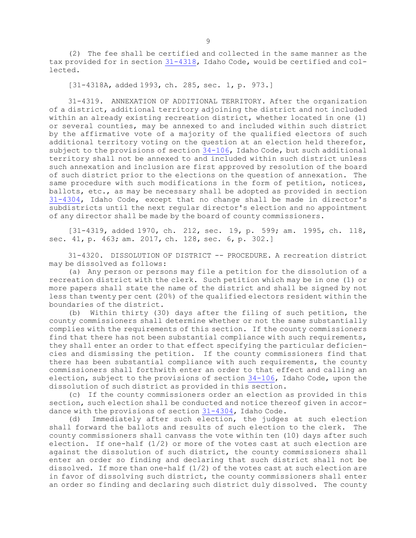(2) The fee shall be certified and collected in the same manner as the tax provided for in section [31-4318](https://legislature.idaho.gov/statutesrules/idstat/Title31/T31CH43/SECT31-4318), Idaho Code, would be certified and collected.

[31-4318A, added 1993, ch. 285, sec. 1, p. 973.]

31-4319. ANNEXATION OF ADDITIONAL TERRITORY. After the organization of <sup>a</sup> district, additional territory adjoining the district and not included within an already existing recreation district, whether located in one (1) or several counties, may be annexed to and included within such district by the affirmative vote of <sup>a</sup> majority of the qualified electors of such additional territory voting on the question at an election held therefor, subject to the provisions of section [34-106](https://legislature.idaho.gov/statutesrules/idstat/Title34/T34CH1/SECT34-106), Idaho Code, but such additional territory shall not be annexed to and included within such district unless such annexation and inclusion are first approved by resolution of the board of such district prior to the elections on the question of annexation. The same procedure with such modifications in the form of petition, notices, ballots, etc., as may be necessary shall be adopted as provided in section [31-4304](https://legislature.idaho.gov/statutesrules/idstat/Title31/T31CH43/SECT31-4304), Idaho Code, except that no change shall be made in director's subdistricts until the next regular director's election and no appointment of any director shall be made by the board of county commissioners.

[31-4319, added 1970, ch. 212, sec. 19, p. 599; am. 1995, ch. 118, sec. 41, p. 463; am. 2017, ch. 128, sec. 6, p. 302.]

31-4320. DISSOLUTION OF DISTRICT -- PROCEDURE. A recreation district may be dissolved as follows:

(a) Any person or persons may file <sup>a</sup> petition for the dissolution of <sup>a</sup> recreation district with the clerk. Such petition which may be in one (1) or more papers shall state the name of the district and shall be signed by not less than twenty per cent (20%) of the qualified electors resident within the boundaries of the district.

(b) Within thirty (30) days after the filing of such petition, the county commissioners shall determine whether or not the same substantially complies with the requirements of this section. If the county commissioners find that there has not been substantial compliance with such requirements, they shall enter an order to that effect specifying the particular deficiencies and dismissing the petition. If the county commissioners find that there has been substantial compliance with such requirements, the county commissioners shall forthwith enter an order to that effect and calling an election, subject to the provisions of section [34-106](https://legislature.idaho.gov/statutesrules/idstat/Title34/T34CH1/SECT34-106), Idaho Code, upon the dissolution of such district as provided in this section.

(c) If the county commissioners order an election as provided in this section, such election shall be conducted and notice thereof given in accordance with the provisions of section [31-4304](https://legislature.idaho.gov/statutesrules/idstat/Title31/T31CH43/SECT31-4304), Idaho Code.

(d) Immediately after such election, the judges at such election shall forward the ballots and results of such election to the clerk. The county commissioners shall canvass the vote within ten (10) days after such election. If one-half (1/2) or more of the votes cast at such election are against the dissolution of such district, the county commissioners shall enter an order so finding and declaring that such district shall not be dissolved. If more than one-half  $(1/2)$  of the votes cast at such election are in favor of dissolving such district, the county commissioners shall enter an order so finding and declaring such district duly dissolved. The county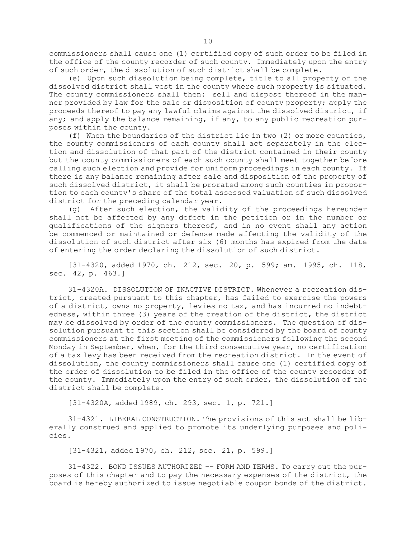commissioners shall cause one (1) certified copy of such order to be filed in the office of the county recorder of such county. Immediately upon the entry of such order, the dissolution of such district shall be complete.

(e) Upon such dissolution being complete, title to all property of the dissolved district shall vest in the county where such property is situated. The county commissioners shall then: sell and dispose thereof in the manner provided by law for the sale or disposition of county property; apply the proceeds thereof to pay any lawful claims against the dissolved district, if any; and apply the balance remaining, if any, to any public recreation purposes within the county.

(f) When the boundaries of the district lie in two (2) or more counties, the county commissioners of each county shall act separately in the election and dissolution of that part of the district contained in their county but the county commissioners of each such county shall meet together before calling such election and provide for uniform proceedings in each county. If there is any balance remaining after sale and disposition of the property of such dissolved district, it shall be prorated among such counties in proportion to each county's share of the total assessed valuation of such dissolved district for the preceding calendar year.

(g) After such election, the validity of the proceedings hereunder shall not be affected by any defect in the petition or in the number or qualifications of the signers thereof, and in no event shall any action be commenced or maintained or defense made affecting the validity of the dissolution of such district after six (6) months has expired from the date of entering the order declaring the dissolution of such district.

[31-4320, added 1970, ch. 212, sec. 20, p. 599; am. 1995, ch. 118, sec. 42, p. 463.]

31-4320A. DISSOLUTION OF INACTIVE DISTRICT. Whenever <sup>a</sup> recreation district, created pursuant to this chapter, has failed to exercise the powers of <sup>a</sup> district, owns no property, levies no tax, and has incurred no indebtedness, within three (3) years of the creation of the district, the district may be dissolved by order of the county commissioners. The question of dissolution pursuant to this section shall be considered by the board of county commissioners at the first meeting of the commissioners following the second Monday in September, when, for the third consecutive year, no certification of <sup>a</sup> tax levy has been received from the recreation district. In the event of dissolution, the county commissioners shall cause one (1) certified copy of the order of dissolution to be filed in the office of the county recorder of the county. Immediately upon the entry of such order, the dissolution of the district shall be complete.

[31-4320A, added 1989, ch. 293, sec. 1, p. 721.]

31-4321. LIBERAL CONSTRUCTION. The provisions of this act shall be liberally construed and applied to promote its underlying purposes and policies.

[31-4321, added 1970, ch. 212, sec. 21, p. 599.]

31-4322. BOND ISSUES AUTHORIZED -- FORM AND TERMS. To carry out the purposes of this chapter and to pay the necessary expenses of the district, the board is hereby authorized to issue negotiable coupon bonds of the district.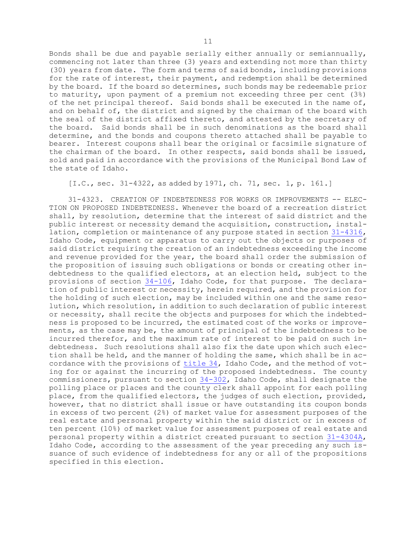Bonds shall be due and payable serially either annually or semiannually, commencing not later than three (3) years and extending not more than thirty (30) years from date. The form and terms of said bonds, including provisions for the rate of interest, their payment, and redemption shall be determined by the board. If the board so determines, such bonds may be redeemable prior to maturity, upon payment of <sup>a</sup> premium not exceeding three per cent (3%) of the net principal thereof. Said bonds shall be executed in the name of, and on behalf of, the district and signed by the chairman of the board with the seal of the district affixed thereto, and attested by the secretary of the board. Said bonds shall be in such denominations as the board shall determine, and the bonds and coupons thereto attached shall be payable to bearer. Interest coupons shall bear the original or facsimile signature of the chairman of the board. In other respects, said bonds shall be issued, sold and paid in accordance with the provisions of the Municipal Bond Law of the state of Idaho.

## [I.C., sec. 31-4322, as added by 1971, ch. 71, sec. 1, p. 161.]

31-4323. CREATION OF INDEBTEDNESS FOR WORKS OR IMPROVEMENTS -- ELEC-TION ON PROPOSED INDEBTEDNESS. Whenever the board of <sup>a</sup> recreation district shall, by resolution, determine that the interest of said district and the public interest or necessity demand the acquisition, construction, installation, completion or maintenance of any purpose stated in section [31-4316](https://legislature.idaho.gov/statutesrules/idstat/Title31/T31CH43/SECT31-4316), Idaho Code, equipment or apparatus to carry out the objects or purposes of said district requiring the creation of an indebtedness exceeding the income and revenue provided for the year, the board shall order the submission of the proposition of issuing such obligations or bonds or creating other indebtedness to the qualified electors, at an election held, subject to the provisions of section [34-106](https://legislature.idaho.gov/statutesrules/idstat/Title34/T34CH1/SECT34-106), Idaho Code, for that purpose. The declaration of public interest or necessity, herein required, and the provision for the holding of such election, may be included within one and the same resolution, which resolution, in addition to such declaration of public interest or necessity, shall recite the objects and purposes for which the indebtedness is proposed to be incurred, the estimated cost of the works or improvements, as the case may be, the amount of principal of the indebtedness to be incurred therefor, and the maximum rate of interest to be paid on such indebtedness. Such resolutions shall also fix the date upon which such election shall be held, and the manner of holding the same, which shall be in accordance with the provisions of [title](https://legislature.idaho.gov/statutesrules/idstat/Title34/) 34, Idaho Code, and the method of voting for or against the incurring of the proposed indebtedness. The county commissioners, pursuant to section  $34-302$ , Idaho Code, shall designate the polling place or places and the county clerk shall appoint for each polling place, from the qualified electors, the judges of such election, provided, however, that no district shall issue or have outstanding its coupon bonds in excess of two percent (2%) of market value for assessment purposes of the real estate and personal property within the said district or in excess of ten percent (10%) of market value for assessment purposes of real estate and personal property within <sup>a</sup> district created pursuant to section [31-4304A](https://legislature.idaho.gov/statutesrules/idstat/Title31/T31CH43/SECT31-4304A), Idaho Code, according to the assessment of the year preceding any such issuance of such evidence of indebtedness for any or all of the propositions specified in this election.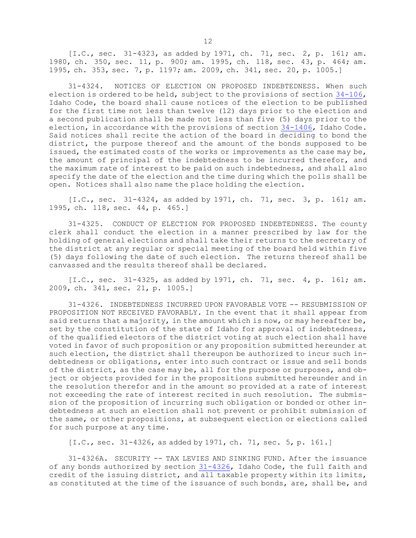[I.C., sec. 31-4323, as added by 1971, ch. 71, sec. 2, p. 161; am. 1980, ch. 350, sec. 11, p. 900; am. 1995, ch. 118, sec. 43, p. 464; am. 1995, ch. 353, sec. 7, p. 1197; am. 2009, ch. 341, sec. 20, p. 1005.]

31-4324. NOTICES OF ELECTION ON PROPOSED INDEBTEDNESS. When such election is ordered to be held, subject to the provisions of section [34-106](https://legislature.idaho.gov/statutesrules/idstat/Title34/T34CH1/SECT34-106), Idaho Code, the board shall cause notices of the election to be published for the first time not less than twelve (12) days prior to the election and <sup>a</sup> second publication shall be made not less than five (5) days prior to the election, in accordance with the provisions of section [34-1406](https://legislature.idaho.gov/statutesrules/idstat/Title34/T34CH14/SECT34-1406), Idaho Code. Said notices shall recite the action of the board in deciding to bond the district, the purpose thereof and the amount of the bonds supposed to be issued, the estimated costs of the works or improvements as the case may be, the amount of principal of the indebtedness to be incurred therefor, and the maximum rate of interest to be paid on such indebtedness, and shall also specify the date of the election and the time during which the polls shall be open. Notices shall also name the place holding the election.

[I.C., sec. 31-4324, as added by 1971, ch. 71, sec. 3, p. 161; am. 1995, ch. 118, sec. 44, p. 465.]

31-4325. CONDUCT OF ELECTION FOR PROPOSED INDEBTEDNESS. The county clerk shall conduct the election in <sup>a</sup> manner prescribed by law for the holding of general elections and shall take their returns to the secretary of the district at any regular or special meeting of the board held within five (5) days following the date of such election. The returns thereof shall be canvassed and the results thereof shall be declared.

[I.C., sec. 31-4325, as added by 1971, ch. 71, sec. 4, p. 161; am. 2009, ch. 341, sec. 21, p. 1005.]

31-4326. INDEBTEDNESS INCURRED UPON FAVORABLE VOTE -- RESUBMISSION OF PROPOSITION NOT RECEIVED FAVORABLY. In the event that it shall appear from said returns that a majority, in the amount which is now, or may hereafter be, set by the constitution of the state of Idaho for approval of indebtedness, of the qualified electors of the district voting at such election shall have voted in favor of such proposition or any proposition submitted hereunder at such election, the district shall thereupon be authorized to incur such indebtedness or obligations, enter into such contract or issue and sell bonds of the district, as the case may be, all for the purpose or purposes, and object or objects provided for in the propositions submitted hereunder and in the resolution therefor and in the amount so provided at <sup>a</sup> rate of interest not exceeding the rate of interest recited in such resolution. The submission of the proposition of incurring such obligation or bonded or other indebtedness at such an election shall not prevent or prohibit submission of the same, or other propositions, at subsequent election or elections called for such purpose at any time.

[I.C., sec. 31-4326, as added by 1971, ch. 71, sec. 5, p. 161.]

31-4326A. SECURITY -- TAX LEVIES AND SINKING FUND. After the issuance of any bonds authorized by section [31-4326](https://legislature.idaho.gov/statutesrules/idstat/Title31/T31CH43/SECT31-4326), Idaho Code, the full faith and credit of the issuing district, and all taxable property within its limits, as constituted at the time of the issuance of such bonds, are, shall be, and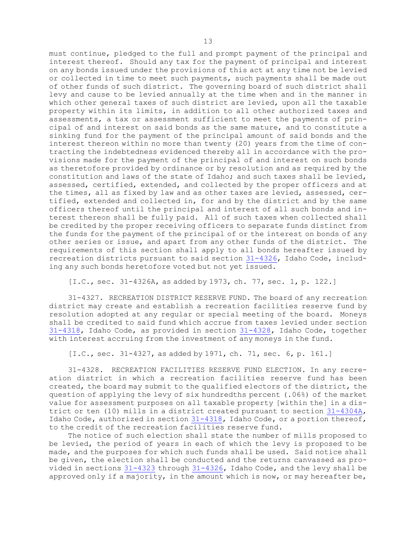must continue, pledged to the full and prompt payment of the principal and interest thereof. Should any tax for the payment of principal and interest on any bonds issued under the provisions of this act at any time not be levied or collected in time to meet such payments, such payments shall be made out of other funds of such district. The governing board of such district shall levy and cause to be levied annually at the time when and in the manner in which other general taxes of such district are levied, upon all the taxable property within its limits, in addition to all other authorized taxes and assessments, <sup>a</sup> tax or assessment sufficient to meet the payments of principal of and interest on said bonds as the same mature, and to constitute <sup>a</sup> sinking fund for the payment of the principal amount of said bonds and the interest thereon within no more than twenty (20) years from the time of contracting the indebtedness evidenced thereby all in accordance with the provisions made for the payment of the principal of and interest on such bonds as theretofore provided by ordinance or by resolution and as required by the constitution and laws of the state of Idaho; and such taxes shall be levied, assessed, certified, extended, and collected by the proper officers and at the times, all as fixed by law and as other taxes are levied, assessed, certified, extended and collected in, for and by the district and by the same officers thereof until the principal and interest of all such bonds and interest thereon shall be fully paid. All of such taxes when collected shall be credited by the proper receiving officers to separate funds distinct from the funds for the payment of the principal of or the interest on bonds of any other series or issue, and apart from any other funds of the district. The requirements of this section shall apply to all bonds hereafter issued by recreation districts pursuant to said section [31-4326](https://legislature.idaho.gov/statutesrules/idstat/Title31/T31CH43/SECT31-4326), Idaho Code, including any such bonds heretofore voted but not yet issued.

[I.C., sec. 31-4326A, as added by 1973, ch. 77, sec. 1, p. 122.]

31-4327. RECREATION DISTRICT RESERVE FUND. The board of any recreation district may create and establish <sup>a</sup> recreation facilities reserve fund by resolution adopted at any regular or special meeting of the board. Moneys shall be credited to said fund which accrue from taxes levied under section [31-4318](https://legislature.idaho.gov/statutesrules/idstat/Title31/T31CH43/SECT31-4318), Idaho Code, as provided in section [31-4328](https://legislature.idaho.gov/statutesrules/idstat/Title31/T31CH43/SECT31-4328), Idaho Code, together with interest accruing from the investment of any moneys in the fund.

[I.C., sec. 31-4327, as added by 1971, ch. 71, sec. 6, p. 161.]

31-4328. RECREATION FACILITIES RESERVE FUND ELECTION. In any recreation district in which <sup>a</sup> recreation facilities reserve fund has been created, the board may submit to the qualified electors of the district, the question of applying the levy of six hundredths percent (.06%) of the market value for assessment purposes on all taxable property [within the] in <sup>a</sup> district or ten (10) mills in <sup>a</sup> district created pursuant to section [31-4304A](https://legislature.idaho.gov/statutesrules/idstat/Title31/T31CH43/SECT31-4304A), Idaho Code, authorized in section [31-4318](https://legislature.idaho.gov/statutesrules/idstat/Title31/T31CH43/SECT31-4318), Idaho Code, or <sup>a</sup> portion thereof, to the credit of the recreation facilities reserve fund.

The notice of such election shall state the number of mills proposed to be levied, the period of years in each of which the levy is proposed to be made, and the purposes for which such funds shall be used. Said notice shall be given, the election shall be conducted and the returns canvassed as provided in sections [31-4323](https://legislature.idaho.gov/statutesrules/idstat/Title31/T31CH43/SECT31-4323) through [31-4326](https://legislature.idaho.gov/statutesrules/idstat/Title31/T31CH43/SECT31-4326), Idaho Code, and the levy shall be approved only if <sup>a</sup> majority, in the amount which is now, or may hereafter be,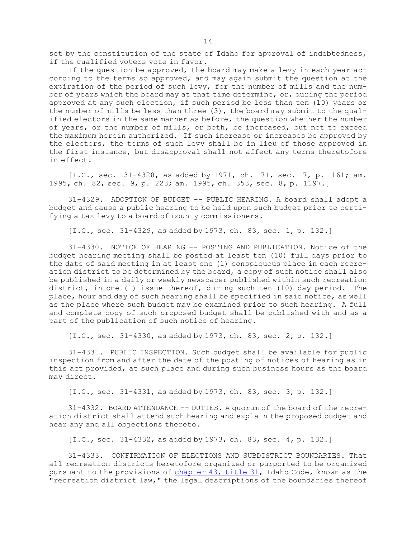set by the constitution of the state of Idaho for approval of indebtedness, if the qualified voters vote in favor.

If the question be approved, the board may make <sup>a</sup> levy in each year according to the terms so approved, and may again submit the question at the expiration of the period of such levy, for the number of mills and the number of years which the board may at that time determine, or, during the period approved at any such election, if such period be less than ten (10) years or the number of mills be less than three (3), the board may submit to the qualified electors in the same manner as before, the question whether the number of years, or the number of mills, or both, be increased, but not to exceed the maximum herein authorized. If such increase or increases be approved by the electors, the terms of such levy shall be in lieu of those approved in the first instance, but disapproval shall not affect any terms theretofore in effect.

[I.C., sec. 31-4328, as added by 1971, ch. 71, sec. 7, p. 161; am. 1995, ch. 82, sec. 9, p. 223; am. 1995, ch. 353, sec. 8, p. 1197.]

31-4329. ADOPTION OF BUDGET -- PUBLIC HEARING. A board shall adopt <sup>a</sup> budget and cause <sup>a</sup> public hearing to be held upon such budget prior to certifying <sup>a</sup> tax levy to <sup>a</sup> board of county commissioners.

[I.C., sec. 31-4329, as added by 1973, ch. 83, sec. 1, p. 132.]

31-4330. NOTICE OF HEARING -- POSTING AND PUBLICATION. Notice of the budget hearing meeting shall be posted at least ten (10) full days prior to the date of said meeting in at least one (1) conspicuous place in each recreation district to be determined by the board, <sup>a</sup> copy of such notice shall also be published in <sup>a</sup> daily or weekly newspaper published within such recreation district, in one (1) issue thereof, during such ten (10) day period. The place, hour and day of such hearing shall be specified in said notice, as well as the place where such budget may be examined prior to such hearing. <sup>A</sup> full and complete copy of such proposed budget shall be published with and as <sup>a</sup> part of the publication of such notice of hearing.

[I.C., sec. 31-4330, as added by 1973, ch. 83, sec. 2, p. 132.]

31-4331. PUBLIC INSPECTION. Such budget shall be available for public inspection from and after the date of the posting of notices of hearing as in this act provided, at such place and during such business hours as the board may direct.

[I.C., sec. 31-4331, as added by 1973, ch. 83, sec. 3, p. 132.]

31-4332. BOARD ATTENDANCE -- DUTIES. A quorum of the board of the recreation district shall attend such hearing and explain the proposed budget and hear any and all objections thereto.

[I.C., sec. 31-4332, as added by 1973, ch. 83, sec. 4, p. 132.]

31-4333. CONFIRMATION OF ELECTIONS AND SUBDISTRICT BOUNDARIES. That all recreation districts heretofore organized or purported to be organized pursuant to the provisions of [chapter](https://legislature.idaho.gov/statutesrules/idstat/Title31/T31CH43) 43, title 31, Idaho Code, known as the "recreation district law," the legal descriptions of the boundaries thereof